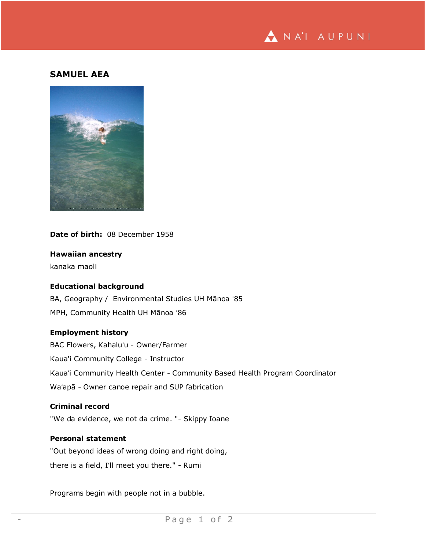

# **SAMUEL AEA**



**Date of birth:** 08 December 1958

**Hawaiian ancestry**

kanaka maoli

## **Educational background**

BA, Geography / Environmental Studies UH Mānoa ʻ85 MPH, Community Health UH Mānoa ʻ86

## **Employment history**

BAC Flowers, Kahaluʻu - Owner/Farmer Kaua'i Community College - Instructor Kauaʻi Community Health Center - Community Based Health Program Coordinator Waʻapā - Owner canoe repair and SUP fabrication

#### **Criminal record**

"We da evidence, we not da crime. "- Skippy Ioane

# **Personal statement**

"Out beyond ideas of wrong doing and right doing, there is a field, Iʻll meet you there." - Rumi

Programs begin with people not in a bubble.